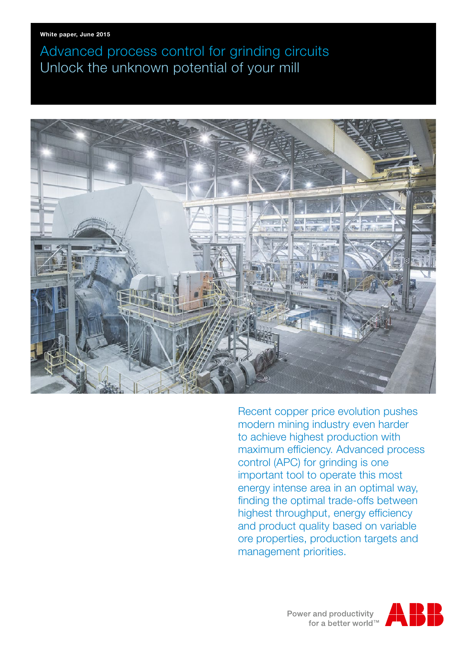Advanced process control for grinding circuits Unlock the unknown potential of your mill



Recent copper price evolution pushes modern mining industry even harder to achieve highest production with maximum efficiency. Advanced process control (APC) for grinding is one important tool to operate this most energy intense area in an optimal way, finding the optimal trade-offs between highest throughput, energy efficiency and product quality based on variable ore properties, production targets and management priorities.

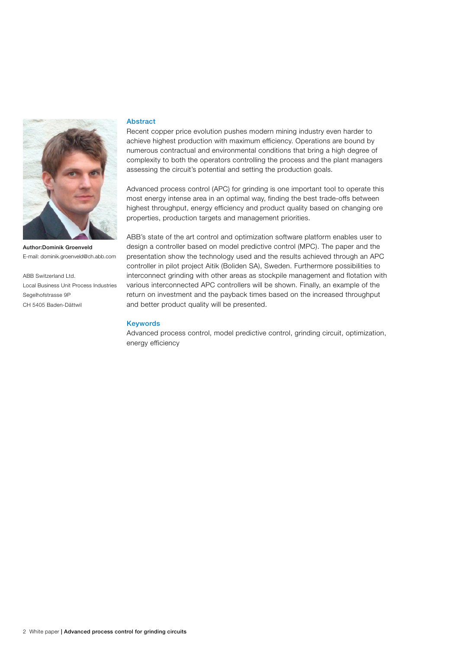

Author:Dominik Groenveld E-mail: dominik.groenveld@ch.abb.com

ABB Switzerland Ltd. Local Business Unit Process Industries Segelhofstrasse 9P CH 5405 Baden-Dättwil

# Abstract

Recent copper price evolution pushes modern mining industry even harder to achieve highest production with maximum efficiency. Operations are bound by numerous contractual and environmental conditions that bring a high degree of complexity to both the operators controlling the process and the plant managers assessing the circuit's potential and setting the production goals.

Advanced process control (APC) for grinding is one important tool to operate this most energy intense area in an optimal way, finding the best trade-offs between highest throughput, energy efficiency and product quality based on changing ore properties, production targets and management priorities.

ABB's state of the art control and optimization software platform enables user to design a controller based on model predictive control (MPC). The paper and the presentation show the technology used and the results achieved through an APC controller in pilot project Aitik (Boliden SA), Sweden. Furthermore possibilities to interconnect grinding with other areas as stockpile management and flotation with various interconnected APC controllers will be shown. Finally, an example of the return on investment and the payback times based on the increased throughput and better product quality will be presented.

## Keywords

Advanced process control, model predictive control, grinding circuit, optimization, energy efficiency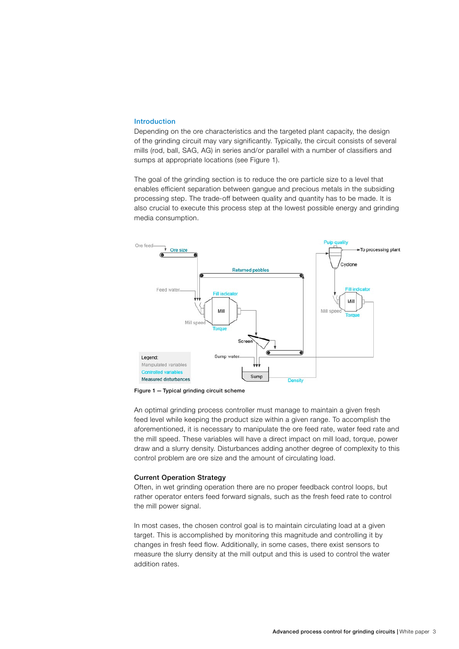## Introduction

Depending on the ore characteristics and the targeted plant capacity, the design of the grinding circuit may vary significantly. Typically, the circuit consists of several mills (rod, ball, SAG, AG) in series and/or parallel with a number of classifiers and sumps at appropriate locations (see Figure 1).

The goal of the grinding section is to reduce the ore particle size to a level that enables efficient separation between gangue and precious metals in the subsiding processing step. The trade-off between quality and quantity has to be made. It is also crucial to execute this process step at the lowest possible energy and grinding media consumption.



Figure 1 — Typical grinding circuit scheme

An optimal grinding process controller must manage to maintain a given fresh feed level while keeping the product size within a given range. To accomplish the aforementioned, it is necessary to manipulate the ore feed rate, water feed rate and the mill speed. These variables will have a direct impact on mill load, torque, power draw and a slurry density. Disturbances adding another degree of complexity to this control problem are ore size and the amount of circulating load.

#### Current Operation Strategy

Often, in wet grinding operation there are no proper feedback control loops, but rather operator enters feed forward signals, such as the fresh feed rate to control the mill power signal.

In most cases, the chosen control goal is to maintain circulating load at a given target. This is accomplished by monitoring this magnitude and controlling it by changes in fresh feed flow. Additionally, in some cases, there exist sensors to measure the slurry density at the mill output and this is used to control the water addition rates.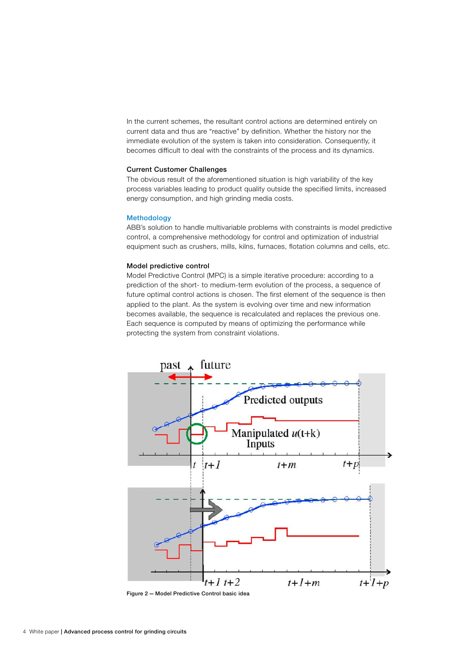In the current schemes, the resultant control actions are determined entirely on current data and thus are "reactive" by definition. Whether the history nor the immediate evolution of the system is taken into consideration. Consequently, it becomes difficult to deal with the constraints of the process and its dynamics.

#### Current Customer Challenges

The obvious result of the aforementioned situation is high variability of the key process variables leading to product quality outside the specified limits, increased energy consumption, and high grinding media costs.

# Methodology

ABB's solution to handle multivariable problems with constraints is model predictive control, a comprehensive methodology for control and optimization of industrial equipment such as crushers, mills, kilns, furnaces, flotation columns and cells, etc.

#### Model predictive control

Model Predictive Control (MPC) is a simple iterative procedure: according to a prediction of the short- to medium-term evolution of the process, a sequence of future optimal control actions is chosen. The first element of the sequence is then applied to the plant. As the system is evolving over time and new information becomes available, the sequence is recalculated and replaces the previous one. Each sequence is computed by means of optimizing the performance while protecting the system from constraint violations.



Figure 2 — Model Predictive Control basic idea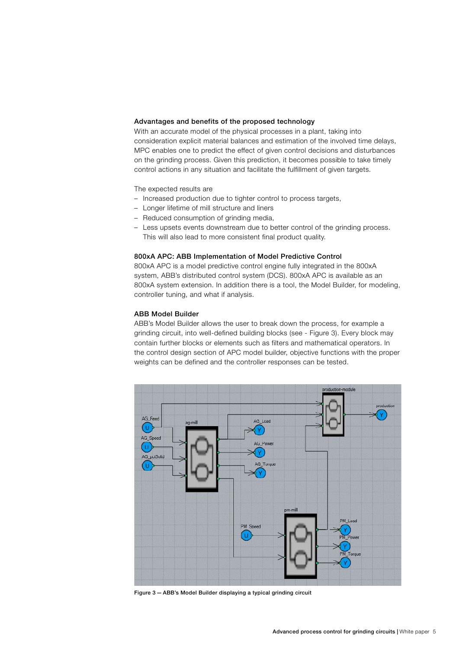# Advantages and benefits of the proposed technology

With an accurate model of the physical processes in a plant, taking into consideration explicit material balances and estimation of the involved time delays, MPC enables one to predict the effect of given control decisions and disturbances on the grinding process. Given this prediction, it becomes possible to take timely control actions in any situation and facilitate the fulfillment of given targets.

The expected results are

- Increased production due to tighter control to process targets,
- Longer lifetime of mill structure and liners
- Reduced consumption of grinding media,
- Less upsets events downstream due to better control of the grinding process. This will also lead to more consistent final product quality.

## 800xA APC: ABB Implementation of Model Predictive Control

800xA APC is a model predictive control engine fully integrated in the 800xA system, ABB's distributed control system (DCS). 800xA APC is available as an 800xA system extension. In addition there is a tool, the Model Builder, for modeling, controller tuning, and what if analysis.

### ABB Model Builder

ABB's Model Builder allows the user to break down the process, for example a grinding circuit, into well-defined building blocks (see - Figure 3). Every block may contain further blocks or elements such as filters and mathematical operators. In the control design section of APC model builder, objective functions with the proper weights can be defined and the controller responses can be tested.



Figure 3 — ABB's Model Builder displaying a typical grinding circuit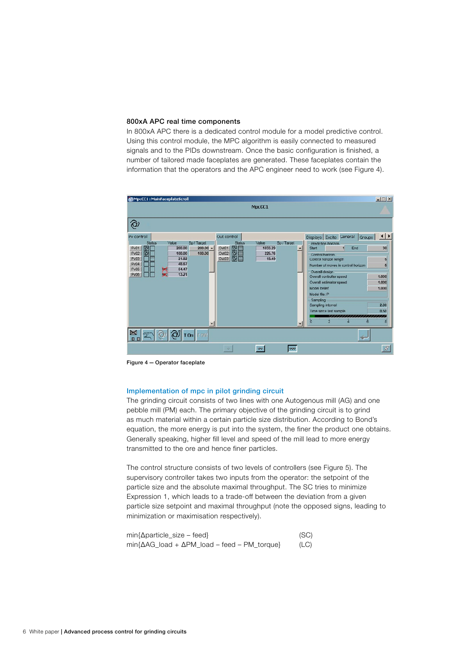# 800xA APC real time components

In 800xA APC there is a dedicated control module for a model predictive control. Using this control module, the MPC algorithm is easily connected to measured signals and to the PIDs downstream. Once the basic configuration is finished, a number of tailored made faceplates are generated. These faceplates contain the information that the operators and the APC engineer need to work (see Figure 4).



Figure 4 — Operator faceplate

## Implementation of mpc in pilot grinding circuit

The grinding circuit consists of two lines with one Autogenous mill (AG) and one pebble mill (PM) each. The primary objective of the grinding circuit is to grind as much material within a certain particle size distribution. According to Bond's equation, the more energy is put into the system, the finer the product one obtains. Generally speaking, higher fill level and speed of the mill lead to more energy transmitted to the ore and hence finer particles.

The control structure consists of two levels of controllers (see Figure 5). The supervisory controller takes two inputs from the operator: the setpoint of the particle size and the absolute maximal throughput. The SC tries to minimize Expression 1, which leads to a trade-off between the deviation from a given particle size setpoint and maximal throughput (note the opposed signs, leading to minimization or maximisation respectively).

| $min{$ $partial$ article_size – feed}                                   | (SC) |
|-------------------------------------------------------------------------|------|
| $min{ \triangle AG_{load} + \triangle PM_{load} - feed - PM_{torque} }$ | (LC) |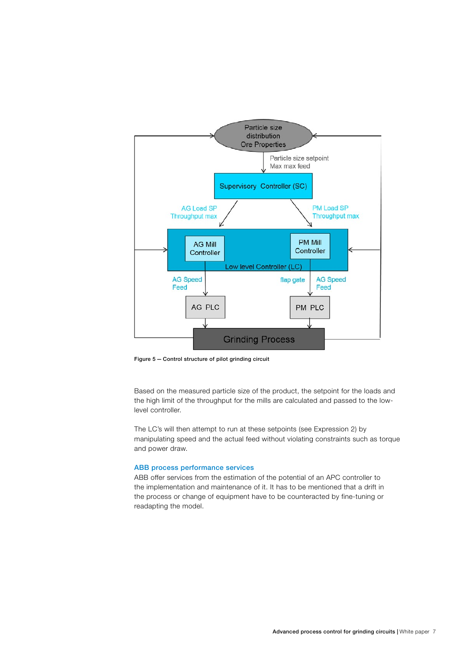

Figure 5 — Control structure of pilot grinding circuit

Based on the measured particle size of the product, the setpoint for the loads and the high limit of the throughput for the mills are calculated and passed to the lowlevel controller.

The LC's will then attempt to run at these setpoints (see Expression 2) by manipulating speed and the actual feed without violating constraints such as torque and power draw.

# ABB process performance services

ABB offer services from the estimation of the potential of an APC controller to the implementation and maintenance of it. It has to be mentioned that a drift in the process or change of equipment have to be counteracted by fine-tuning or readapting the model.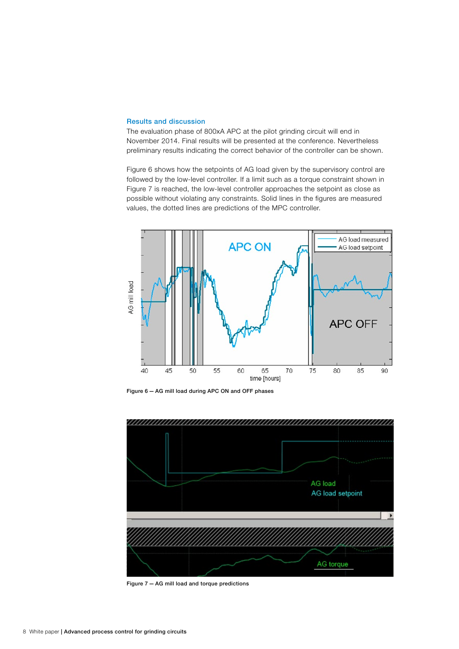### Results and discussion

The evaluation phase of 800xA APC at the pilot grinding circuit will end in November 2014. Final results will be presented at the conference. Nevertheless preliminary results indicating the correct behavior of the controller can be shown.

Figure 6 shows how the setpoints of AG load given by the supervisory control are followed by the low-level controller. If a limit such as a torque constraint shown in Figure 7 is reached, the low-level controller approaches the setpoint as close as possible without violating any constraints. Solid lines in the figures are measured values, the dotted lines are predictions of the MPC controller.



Figure 6 — AG mill load during APC ON and OFF phases



Figure 7 — AG mill load and torque predictions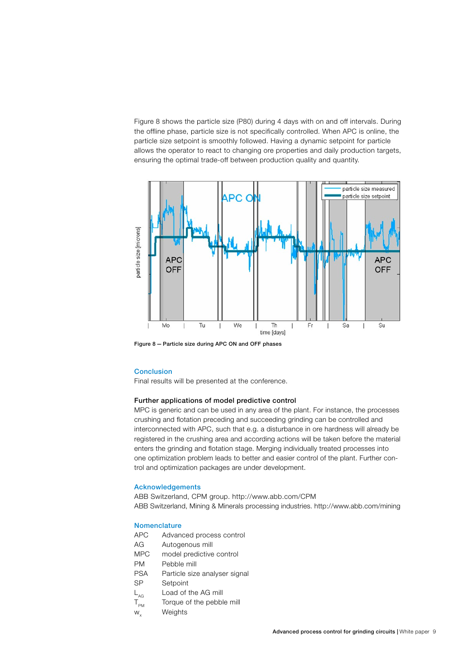Figure 8 shows the particle size (P80) during 4 days with on and off intervals. During the offline phase, particle size is not specifically controlled. When APC is online, the particle size setpoint is smoothly followed. Having a dynamic setpoint for particle allows the operator to react to changing ore properties and daily production targets, ensuring the optimal trade-off between production quality and quantity.



Figure 8 — Particle size during APC ON and OFF phases

### **Conclusion**

Final results will be presented at the conference.

## Further applications of model predictive control

MPC is generic and can be used in any area of the plant. For instance, the processes crushing and flotation preceding and succeeding grinding can be controlled and interconnected with APC, such that e.g. a disturbance in ore hardness will already be registered in the crushing area and according actions will be taken before the material enters the grinding and flotation stage. Merging individually treated processes into one optimization problem leads to better and easier control of the plant. Further control and optimization packages are under development.

## Acknowledgements

ABB Switzerland, CPM group. http://www.abb.com/CPM ABB Switzerland, Mining & Minerals processing industries. http://www.abb.com/mining

#### Nomenclature

- APC Advanced process control
- AG Autogenous mill
- MPC model predictive control
- PM Pebble mill
- PSA Particle size analyser signal
- SP Setpoint
- $L_{AG}$  Load of the AG mill
- $T_{PM}$  Torque of the pebble mill
- w Weights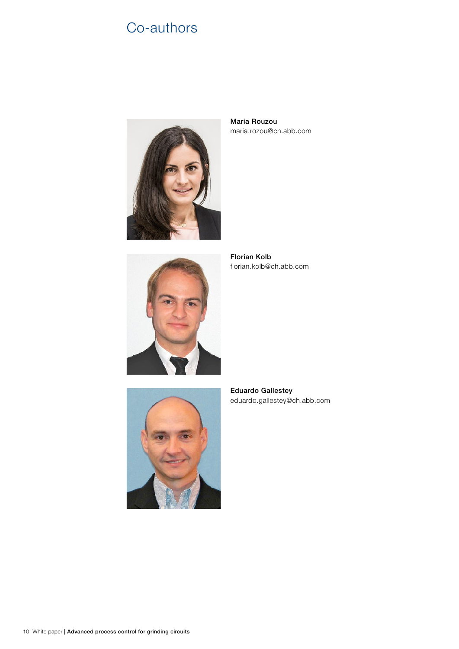# Co-authors



Maria Rouzou maria.rozou@ch.abb.com



Florian Kolb florian.kolb@ch.abb.com



Eduardo Gallestey eduardo.gallestey@ch.abb.com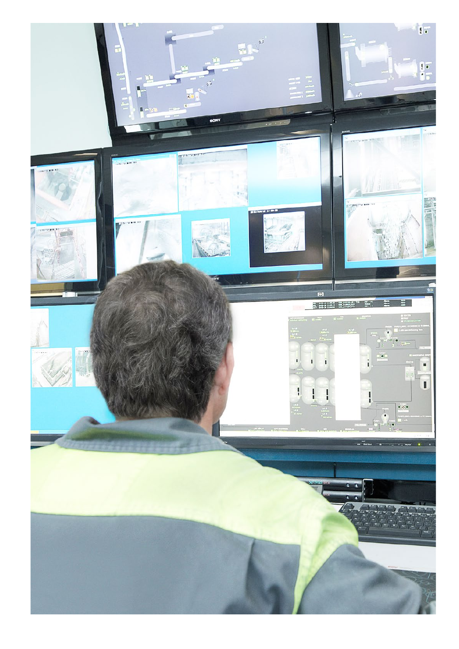